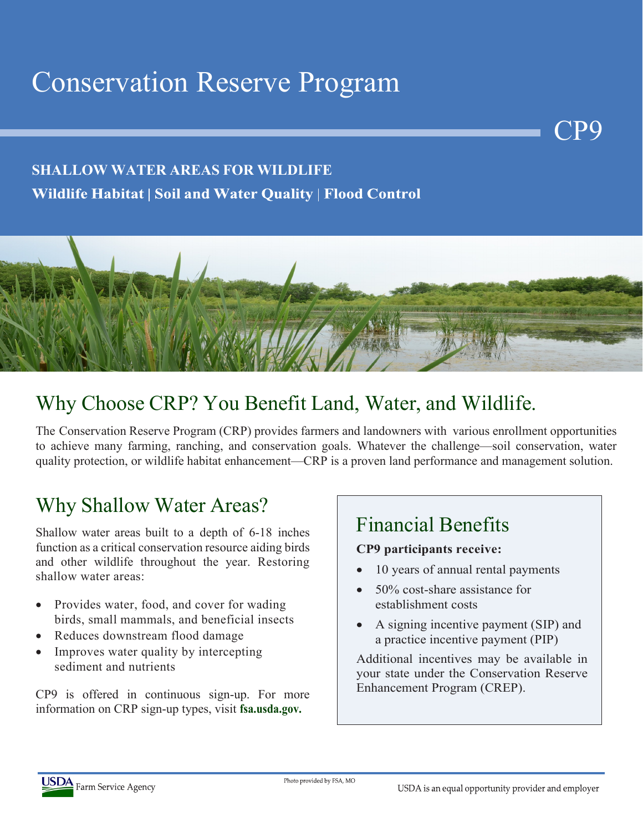# Conservation Reserve Program

#### **SHALLOW WATER AREAS FOR WILDLIFE** Wildlife Habitat | Soil and Water Quality | Flood Control



## Why Choose CRP? You Benefit Land, Water, and Wildlife.

The Conservation Reserve Program (CRP) provides farmers and landowners with various enrollment opportunities to achieve many farming, ranching, and conservation goals. Whatever the challenge—soil conservation, water quality protection, or wildlife habitat enhancement—CRP is a proven land performance and management solution.

#### Why Shallow Water Areas?

Shallow water areas built to a depth of 6-18 inches function as a critical conservation resource aiding birds and other wildlife throughout the year. Restoring shallow water areas:

- Provides water, food, and cover for wading birds, small mammals, and beneficial insects
- Reduces downstream flood damage
- Improves water quality by intercepting sediment and nutrients

CP9 is offered in continuous sign-up. For more information on CRP sign-up types, visit **fsa.usda.gov.**

# Financial Benefits

#### **CP9 participants receive:**

10 years of annual rental payments

**P** 

- 50% cost-share assistance for establishment costs
- A signing incentive payment (SIP) and a practice incentive payment (PIP)

Additional incentives may be available in your state under the Conservation Reserve Enhancement Program (CREP).